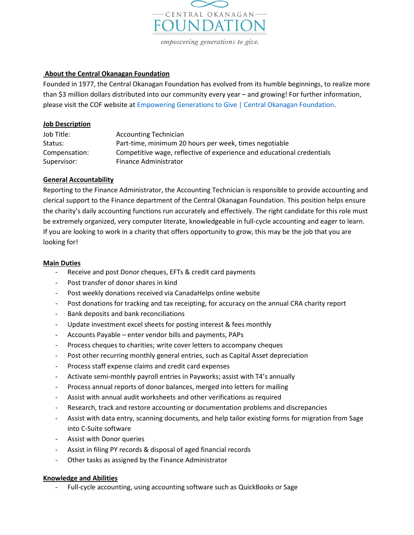

# About the Central Okanagan Foundation

Founded in 1977, the Central Okanagan Foundation has evolved from its humble beginnings, to realize more than \$3 million dollars distributed into our community every year – and growing! For further information, please visit the COF website at Empowering Generations to Give | Central Okanagan Foundation.

## Job Description

| Job Title:    | <b>Accounting Technician</b>                                           |
|---------------|------------------------------------------------------------------------|
| Status:       | Part-time, minimum 20 hours per week, times negotiable                 |
| Compensation: | Competitive wage, reflective of experience and educational credentials |
| Supervisor:   | Finance Administrator                                                  |

## General Accountability

Reporting to the Finance Administrator, the Accounting Technician is responsible to provide accounting and clerical support to the Finance department of the Central Okanagan Foundation. This position helps ensure the charity's daily accounting functions run accurately and effectively. The right candidate for this role must be extremely organized, very computer literate, knowledgeable in full-cycle accounting and eager to learn. If you are looking to work in a charity that offers opportunity to grow, this may be the job that you are looking for!

## Main Duties

- Receive and post Donor cheques, EFTs & credit card payments
- Post transfer of donor shares in kind
- Post weekly donations received via CanadaHelps online website
- Post donations for tracking and tax receipting, for accuracy on the annual CRA charity report
- Bank deposits and bank reconciliations
- Update investment excel sheets for posting interest & fees monthly
- Accounts Payable enter vendor bills and payments, PAPs
- Process cheques to charities; write cover letters to accompany cheques
- Post other recurring monthly general entries, such as Capital Asset depreciation
- Process staff expense claims and credit card expenses
- Activate semi-monthly payroll entries in Payworks; assist with T4's annually
- Process annual reports of donor balances, merged into letters for mailing
- Assist with annual audit worksheets and other verifications as required
- Research, track and restore accounting or documentation problems and discrepancies
- Assist with data entry, scanning documents, and help tailor existing forms for migration from Sage into C-Suite software
- Assist with Donor queries
- Assist in filing PY records & disposal of aged financial records
- Other tasks as assigned by the Finance Administrator

## Knowledge and Abilities

Full-cycle accounting, using accounting software such as QuickBooks or Sage